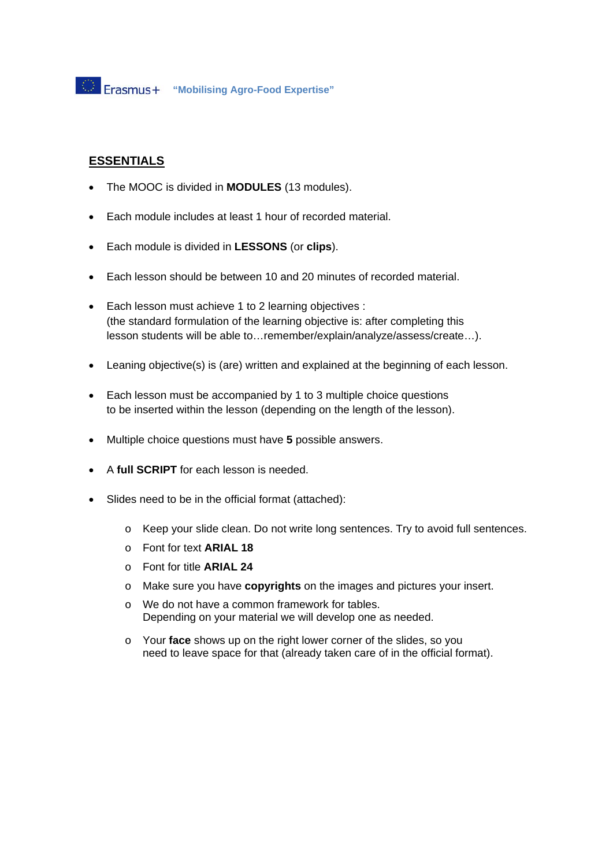## **ESSENTIALS**

- The MOOC is divided in **MODULES** (13 modules).
- Each module includes at least 1 hour of recorded material.
- Each module is divided in **LESSONS** (or **clips**).
- Each lesson should be between 10 and 20 minutes of recorded material.
- Each lesson must achieve 1 to 2 learning objectives : (the standard formulation of the learning objective is: after completing this lesson students will be able to…remember/explain/analyze/assess/create…).
- Leaning objective(s) is (are) written and explained at the beginning of each lesson.
- Each lesson must be accompanied by 1 to 3 multiple choice questions to be inserted within the lesson (depending on the length of the lesson).
- Multiple choice questions must have **5** possible answers.
- A **full SCRIPT** for each lesson is needed.
- Slides need to be in the official format (attached):
	- o Keep your slide clean. Do not write long sentences. Try to avoid full sentences.
	- o Font for text **ARIAL 18**
	- o Font for title **ARIAL 24**
	- o Make sure you have **copyrights** on the images and pictures your insert.
	- o We do not have a common framework for tables. Depending on your material we will develop one as needed.
	- o Your **face** shows up on the right lower corner of the slides, so you need to leave space for that (already taken care of in the official format).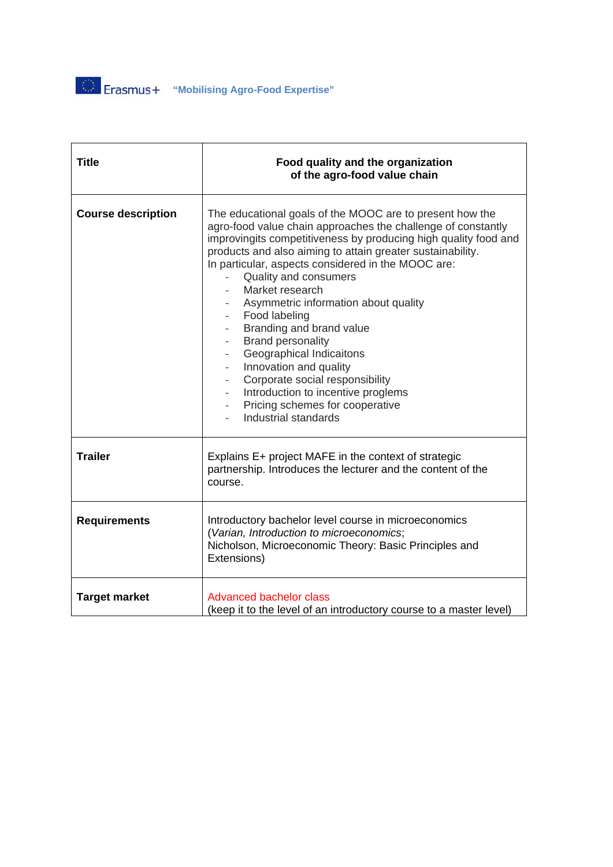**"Mobilising Agro-Food Expertise"** 

| <b>Title</b>              | Food quality and the organization<br>of the agro-food value chain                                                                                                                                                                                                                                                                                                                                                                                                                                                                                                                                                                                                                                                                                    |  |
|---------------------------|------------------------------------------------------------------------------------------------------------------------------------------------------------------------------------------------------------------------------------------------------------------------------------------------------------------------------------------------------------------------------------------------------------------------------------------------------------------------------------------------------------------------------------------------------------------------------------------------------------------------------------------------------------------------------------------------------------------------------------------------------|--|
| <b>Course description</b> | The educational goals of the MOOC are to present how the<br>agro-food value chain approaches the challenge of constantly<br>improvingits competitiveness by producing high quality food and<br>products and also aiming to attain greater sustainability.<br>In particular, aspects considered in the MOOC are:<br><b>Quality and consumers</b><br>Market research<br>Asymmetric information about quality<br>- Food labeling<br>Branding and brand value<br><b>Brand personality</b><br>Geographical Indicaitons<br>$\sim 10$<br>Innovation and quality<br>Corporate social responsibility<br>$\overline{\phantom{a}}$<br>Introduction to incentive proglems<br>$\overline{\phantom{a}}$<br>Pricing schemes for cooperative<br>Industrial standards |  |
| <b>Trailer</b>            | Explains E+ project MAFE in the context of strategic<br>partnership. Introduces the lecturer and the content of the<br>course.                                                                                                                                                                                                                                                                                                                                                                                                                                                                                                                                                                                                                       |  |
| <b>Requirements</b>       | Introductory bachelor level course in microeconomics<br>(Varian, Introduction to microeconomics;<br>Nicholson, Microeconomic Theory: Basic Principles and<br>Extensions)                                                                                                                                                                                                                                                                                                                                                                                                                                                                                                                                                                             |  |
| <b>Target market</b>      | <b>Advanced bachelor class</b><br>(keep it to the level of an introductory course to a master level)                                                                                                                                                                                                                                                                                                                                                                                                                                                                                                                                                                                                                                                 |  |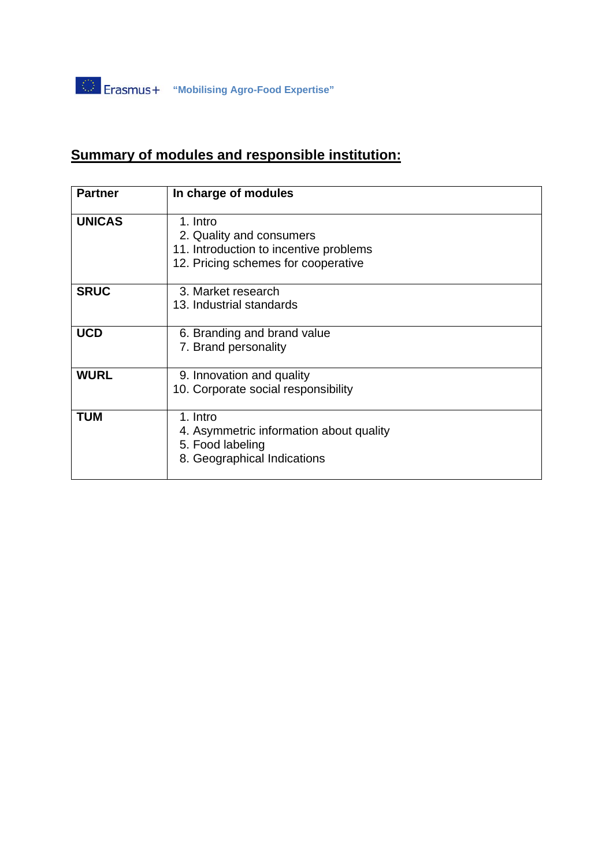## **Summary of modules and responsible institution:**

| <b>Partner</b> | In charge of modules                                                                                                  |
|----------------|-----------------------------------------------------------------------------------------------------------------------|
| <b>UNICAS</b>  | 1. Intro<br>2. Quality and consumers<br>11. Introduction to incentive problems<br>12. Pricing schemes for cooperative |
| <b>SRUC</b>    | 3. Market research<br>13. Industrial standards                                                                        |
| <b>UCD</b>     | 6. Branding and brand value<br>7. Brand personality                                                                   |
| <b>WURL</b>    | 9. Innovation and quality<br>10. Corporate social responsibility                                                      |
| <b>TUM</b>     | 1. Intro<br>4. Asymmetric information about quality<br>5. Food labeling<br>8. Geographical Indications                |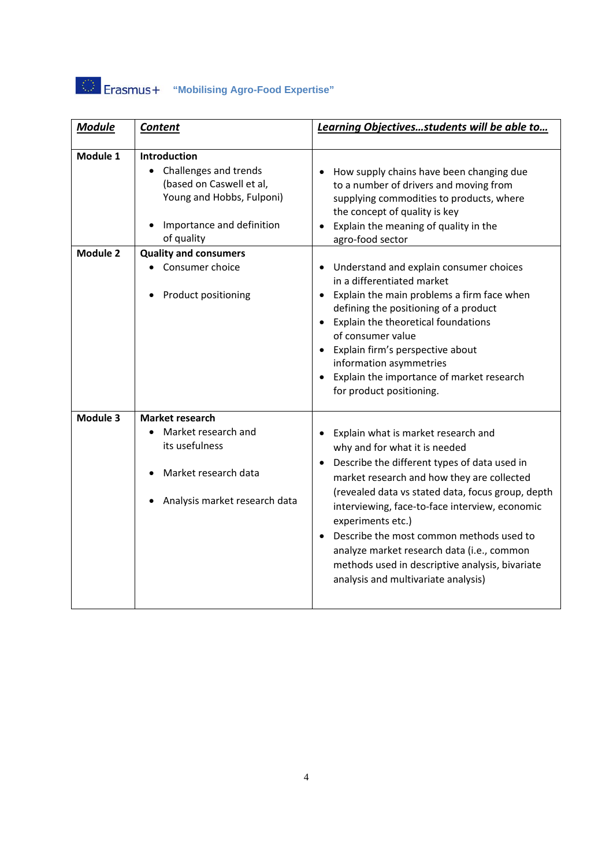## **"Mobilising Agro-Food Expertise"**

| <b>Module</b> | <b>Content</b>                                                                                                                            | Learning Objectivesstudents will be able to                                                                                                                                                                                                                                                                                                                                                                                                                                                     |
|---------------|-------------------------------------------------------------------------------------------------------------------------------------------|-------------------------------------------------------------------------------------------------------------------------------------------------------------------------------------------------------------------------------------------------------------------------------------------------------------------------------------------------------------------------------------------------------------------------------------------------------------------------------------------------|
| Module 1      | Introduction<br>Challenges and trends<br>(based on Caswell et al,<br>Young and Hobbs, Fulponi)<br>Importance and definition<br>of quality | How supply chains have been changing due<br>to a number of drivers and moving from<br>supplying commodities to products, where<br>the concept of quality is key<br>Explain the meaning of quality in the<br>agro-food sector                                                                                                                                                                                                                                                                    |
| Module 2      | <b>Quality and consumers</b><br>Consumer choice<br>Product positioning                                                                    | • Understand and explain consumer choices<br>in a differentiated market<br>Explain the main problems a firm face when<br>defining the positioning of a product<br>• Explain the theoretical foundations<br>of consumer value<br>• Explain firm's perspective about<br>information asymmetries<br>• Explain the importance of market research<br>for product positioning.                                                                                                                        |
| Module 3      | Market research<br>Market research and<br>its usefulness<br>Market research data<br>Analysis market research data                         | Explain what is market research and<br>why and for what it is needed<br>Describe the different types of data used in<br>$\bullet$<br>market research and how they are collected<br>(revealed data vs stated data, focus group, depth<br>interviewing, face-to-face interview, economic<br>experiments etc.)<br>Describe the most common methods used to<br>analyze market research data (i.e., common<br>methods used in descriptive analysis, bivariate<br>analysis and multivariate analysis) |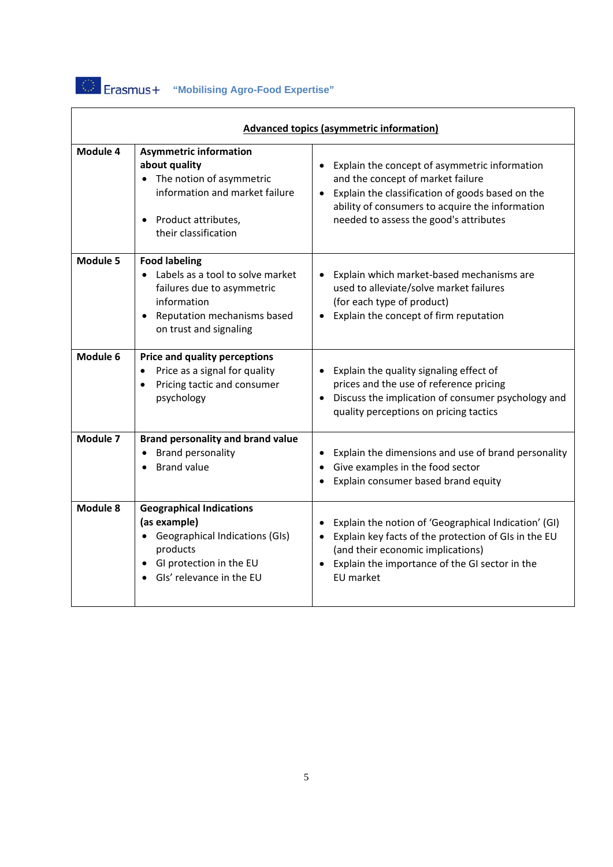

| Advanced topics (asymmetric information) |                                                                                                                                                                             |                                                                                                                                                                                                                                                  |  |  |
|------------------------------------------|-----------------------------------------------------------------------------------------------------------------------------------------------------------------------------|--------------------------------------------------------------------------------------------------------------------------------------------------------------------------------------------------------------------------------------------------|--|--|
| Module 4                                 | <b>Asymmetric information</b><br>about quality<br>• The notion of asymmetric<br>information and market failure<br>Product attributes,<br>their classification               | Explain the concept of asymmetric information<br>and the concept of market failure<br>Explain the classification of goods based on the<br>$\bullet$<br>ability of consumers to acquire the information<br>needed to assess the good's attributes |  |  |
| Module 5                                 | <b>Food labeling</b><br>Labels as a tool to solve market<br>failures due to asymmetric<br>information<br>Reputation mechanisms based<br>$\bullet$<br>on trust and signaling | Explain which market-based mechanisms are<br>$\bullet$<br>used to alleviate/solve market failures<br>(for each type of product)<br>Explain the concept of firm reputation                                                                        |  |  |
| Module 6                                 | <b>Price and quality perceptions</b><br>Price as a signal for quality<br>Pricing tactic and consumer<br>psychology                                                          | • Explain the quality signaling effect of<br>prices and the use of reference pricing<br>• Discuss the implication of consumer psychology and<br>quality perceptions on pricing tactics                                                           |  |  |
| Module 7                                 | <b>Brand personality and brand value</b><br><b>Brand personality</b><br><b>Brand value</b>                                                                                  | Explain the dimensions and use of brand personality<br>Give examples in the food sector<br>Explain consumer based brand equity                                                                                                                   |  |  |
| Module 8                                 | <b>Geographical Indications</b><br>(as example)<br><b>Geographical Indications (GIs)</b><br>products<br>GI protection in the EU<br>Gls' relevance in the EU                 | Explain the notion of 'Geographical Indication' (GI)<br>Explain key facts of the protection of GIs in the EU<br>$\bullet$<br>(and their economic implications)<br>• Explain the importance of the GI sector in the<br>EU market                  |  |  |

٦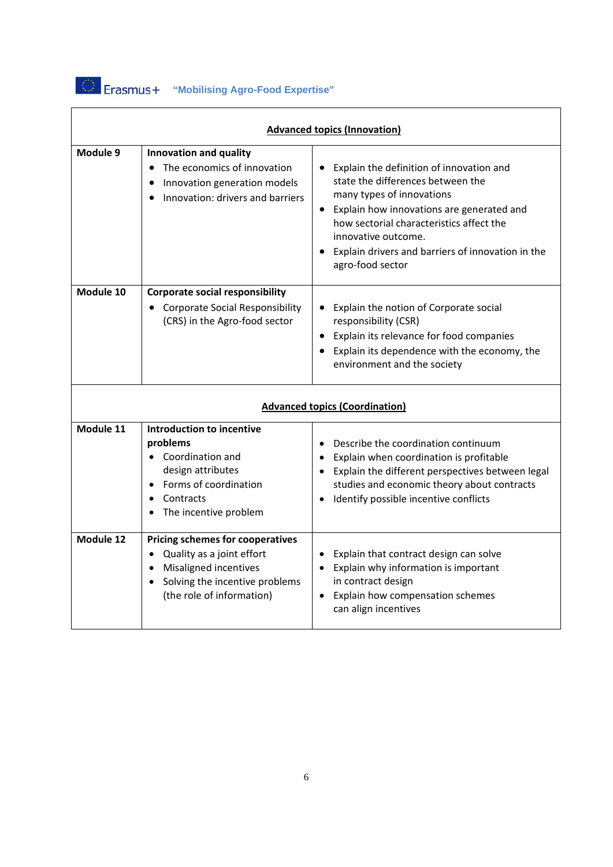

| <b>Advanced topics (Innovation)</b>   |                                                                                                                                                                  |                                                                                                                                                                                                                                                                                                       |  |  |
|---------------------------------------|------------------------------------------------------------------------------------------------------------------------------------------------------------------|-------------------------------------------------------------------------------------------------------------------------------------------------------------------------------------------------------------------------------------------------------------------------------------------------------|--|--|
| Module 9                              | Innovation and quality<br>The economics of innovation<br>Innovation generation models<br>Innovation: drivers and barriers                                        | Explain the definition of innovation and<br>state the differences between the<br>many types of innovations<br>• Explain how innovations are generated and<br>how sectorial characteristics affect the<br>innovative outcome.<br>Explain drivers and barriers of innovation in the<br>agro-food sector |  |  |
| Module 10                             | <b>Corporate social responsibility</b><br><b>Corporate Social Responsibility</b><br>(CRS) in the Agro-food sector                                                | Explain the notion of Corporate social<br>$\bullet$<br>responsibility (CSR)<br>• Explain its relevance for food companies<br>• Explain its dependence with the economy, the<br>environment and the society                                                                                            |  |  |
| <b>Advanced topics (Coordination)</b> |                                                                                                                                                                  |                                                                                                                                                                                                                                                                                                       |  |  |
| Module 11                             | <b>Introduction to incentive</b><br>problems<br>Coordination and<br>design attributes<br>Forms of coordination<br>Contracts<br>The incentive problem             | Describe the coordination continuum<br>Explain when coordination is profitable<br>• Explain the different perspectives between legal<br>studies and economic theory about contracts<br>Identify possible incentive conflicts                                                                          |  |  |
| Module 12                             | <b>Pricing schemes for cooperatives</b><br>Quality as a joint effort<br>• Misaligned incentives<br>• Solving the incentive problems<br>(the role of information) | Explain that contract design can solve<br>Explain why information is important<br>in contract design<br>• Explain how compensation schemes<br>can align incentives                                                                                                                                    |  |  |